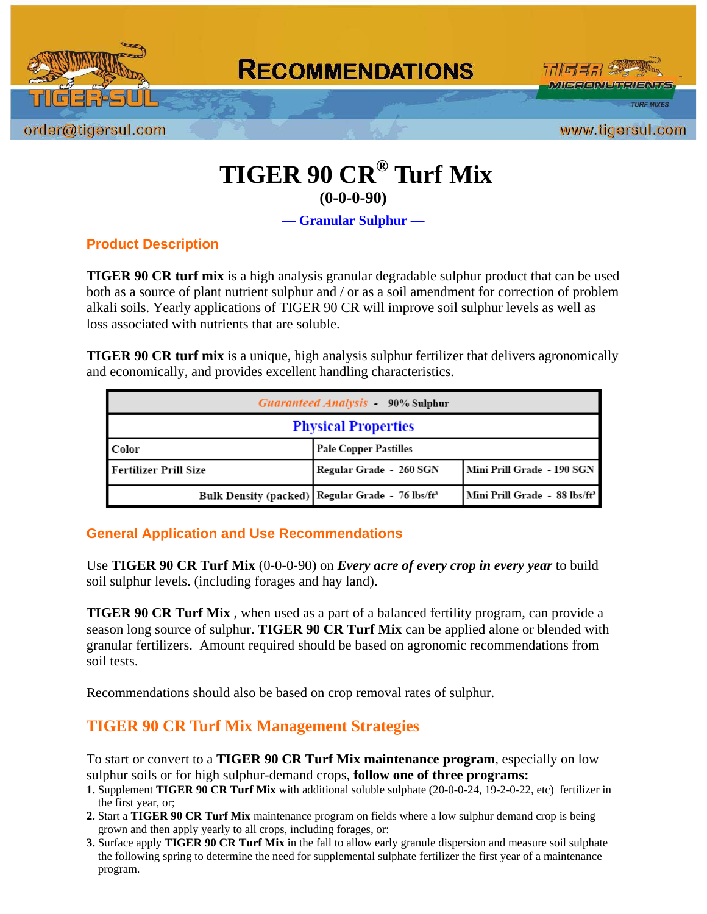

# **TIGER 90 CR® Turf Mix (0-0-0-90)**

**— Granular Sulphur —** 

### **Product Description**

**TIGER 90 CR turf mix** is a high analysis granular degradable sulphur product that can be used both as a source of plant nutrient sulphur and / or as a soil amendment for correction of problem alkali soils. Yearly applications of TIGER 90 CR will improve soil sulphur levels as well as loss associated with nutrients that are soluble.

**TIGER 90 CR turf mix** is a unique, high analysis sulphur fertilizer that delivers agronomically and economically, and provides excellent handling characteristics.

| <b>Guaranteed Analysis</b> 90% Sulphur |                                                                |                                           |
|----------------------------------------|----------------------------------------------------------------|-------------------------------------------|
| <b>Physical Properties</b>             |                                                                |                                           |
| Color                                  | <b>Pale Copper Pastilles</b>                                   |                                           |
| Fertilizer Prill Size                  | Regular Grade - 260 SGN                                        | l Mini Prill Grade  - 190 SGN             |
|                                        | Bulk Density (packed)   Regular Grade - 76 lbs/ft <sup>3</sup> | Mini Prill Grade - 88 lbs/ft <sup>3</sup> |

#### **General Application and Use Recommendations**

Use **TIGER 90 CR Turf Mix** (0-0-0-90) on *Every acre of every crop in every year* to build soil sulphur levels. (including forages and hay land).

**TIGER 90 CR Turf Mix** , when used as a part of a balanced fertility program, can provide a season long source of sulphur. **TIGER 90 CR Turf Mix** can be applied alone or blended with granular fertilizers. Amount required should be based on agronomic recommendations from soil tests.

Recommendations should also be based on crop removal rates of sulphur.

# **TIGER 90 CR Turf Mix Management Strategies**

To start or convert to a **TIGER 90 CR Turf Mix maintenance program**, especially on low sulphur soils or for high sulphur-demand crops, **follow one of three programs:** 

- **1.** Supplement **TIGER 90 CR Turf Mix** with additional soluble sulphate (20-0-0-24, 19-2-0-22, etc) fertilizer in the first year, or;
- **2.** Start a **TIGER 90 CR Turf Mix** maintenance program on fields where a low sulphur demand crop is being grown and then apply yearly to all crops, including forages, or:
- **3.** Surface apply **TIGER 90 CR Turf Mix** in the fall to allow early granule dispersion and measure soil sulphate the following spring to determine the need for supplemental sulphate fertilizer the first year of a maintenance program.